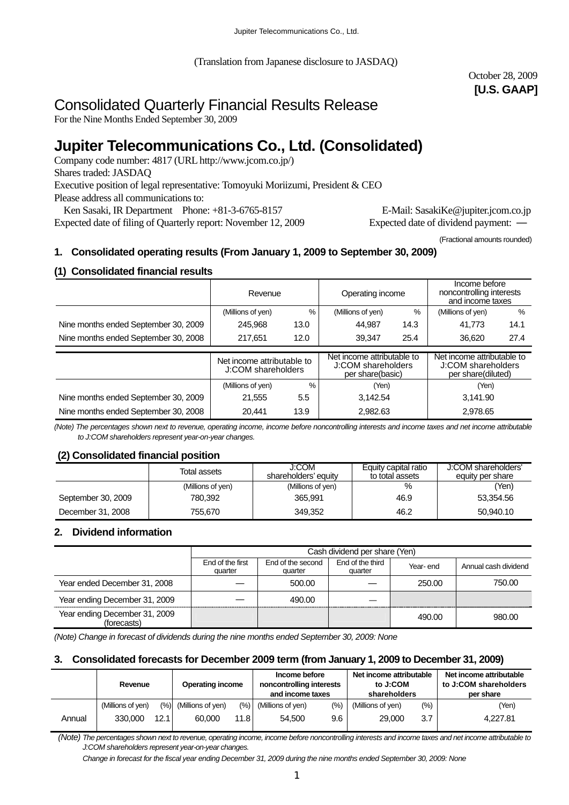(Translation from Japanese disclosure to JASDAQ)

October 28, 2009 **[U.S. GAAP]** 

# Consolidated Quarterly Financial Results Release

For the Nine Months Ended September 30, 2009

# **Jupiter Telecommunications Co., Ltd. (Consolidated)**

Company code number: 4817 (URL http://www.jcom.co.jp/) Shares traded: JASDAQ Executive position of legal representative: Tomoyuki Moriizumi, President & CEO Please address all communications to: Ken Sasaki, IR Department Phone: +81-3-6765-8157 E-Mail: SasakiKe@jupiter.jcom.co.jp

Expected date of filing of Quarterly report: November 12, 2009 Expected date of dividend payment:

(Fractional amounts rounded)

## **1. Consolidated operating results (From January 1, 2009 to September 30, 2009)**

## **(1) Consolidated financial results**

|                                      | Revenue                                          |      | Operating income                                                     |      | Income before<br>noncontrolling interests<br>and income taxes          |               |
|--------------------------------------|--------------------------------------------------|------|----------------------------------------------------------------------|------|------------------------------------------------------------------------|---------------|
|                                      | %<br>(Millions of yen)                           |      | (Millions of yen)                                                    | %    | (Millions of yen)                                                      | $\frac{0}{0}$ |
| Nine months ended September 30, 2009 | 245.968                                          | 13.0 | 44.987                                                               | 14.3 | 41.773                                                                 | 14.1          |
| Nine months ended September 30, 2008 | 217.651<br>12.0                                  |      | 39.347                                                               | 25.4 | 36.620                                                                 | 27.4          |
|                                      |                                                  |      |                                                                      |      |                                                                        |               |
|                                      | Net income attributable to<br>J:COM shareholders |      | Net income attributable to<br>J:COM shareholders<br>per share(basic) |      | Net income attributable to<br>J:COM shareholders<br>per share(diluted) |               |
|                                      | $\frac{0}{0}$<br>(Millions of yen)               |      | (Yen)                                                                |      | (Yen)                                                                  |               |
| Nine months ended September 30, 2009 | 5.5<br>21.555                                    |      | 3.142.54                                                             |      | 3.141.90                                                               |               |
| Nine months ended September 30, 2008 | 20.441                                           | 13.9 | 2.982.63                                                             |      | 2,978.65                                                               |               |

*(Note) The percentages shown next to revenue, operating income, income before noncontrolling interests and income taxes and net income attributable to J:COM shareholders represent year-on-year changes.* 

## **(2) Consolidated financial position**

|                    | Total assets      | J:COM<br>shareholders' equity | Equity capital ratio<br>to total assets | J:COM shareholders'<br>equity per share |
|--------------------|-------------------|-------------------------------|-----------------------------------------|-----------------------------------------|
|                    | (Millions of yen) | (Millions of yen)             | $\%$                                    | (Yen)                                   |
| September 30, 2009 | 780.392           | 365.991                       | 46.9                                    | 53.354.56                               |
| December 31, 2008  | 755.670           | 349.352                       | 46.2                                    | 50.940.10                               |

#### **2. Dividend information**

|                                              | Cash dividend per share (Yen) |                              |                             |          |                      |  |  |
|----------------------------------------------|-------------------------------|------------------------------|-----------------------------|----------|----------------------|--|--|
|                                              | End of the first<br>quarter   | End of the second<br>quarter | End of the third<br>quarter | Year-end | Annual cash dividend |  |  |
| Year ended December 31, 2008                 |                               | 500.00                       |                             | 250.00   | 750.00               |  |  |
| Year ending December 31, 2009                |                               | 490.00                       |                             |          |                      |  |  |
| Year ending December 31, 2009<br>(forecasts) |                               |                              |                             | 490.00   | 980.00               |  |  |

*(Note) Change in forecast of dividends during the nine months ended September 30, 2009: None* 

#### **3. Consolidated forecasts for December 2009 term (from January 1, 2009 to December 31, 2009)**

|        | Revenue           |      | <b>Operating income</b>  |      | Income before<br>noncontrolling interests<br>and income taxes |       | Net income attributable<br>to J:COM<br>shareholders |         | Net income attributable<br>to J:COM shareholders<br>per share |  |
|--------|-------------------|------|--------------------------|------|---------------------------------------------------------------|-------|-----------------------------------------------------|---------|---------------------------------------------------------------|--|
|        | (Millions of yen) |      | $(\%)$ (Millions of yen) | (%)  | (Millions of yen)                                             | (9/0) | (Millions of yen)                                   | $(\% )$ | (Yen)                                                         |  |
| Annual | 330,000           | 12.1 | 60.000                   | 11.8 | 54.500                                                        | 9.6   | 29,000                                              | 3.7     | 4.227.81                                                      |  |

 *(Note) The percentages shown next to revenue, operating income, income before noncontrolling interests and income taxes and net income attributable to J:COM shareholders represent year-on-year changes.* 

*Change in forecast for the fiscal year ending December 31, 2009 during the nine months ended September 30, 2009: None*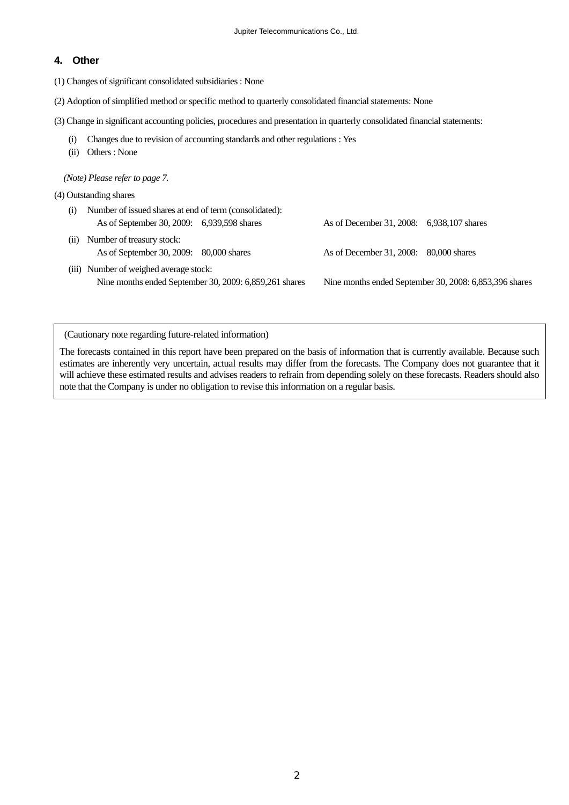#### **4. Other**

(1) Changes of significant consolidated subsidiaries : None

(2) Adoption of simplified method or specific method to quarterly consolidated financial statements: None

(3) Change in significant accounting policies, procedures and presentation in quarterly consolidated financial statements:

- (i) Changes due to revision of accounting standards and other regulations : Yes
- (ii) Others : None

*(Note) Please refer to page 7.* 

- (4) Outstanding shares
	- (i) Number of issued shares at end of term (consolidated): As of September 30, 2009: 6,939,598 shares As of December 31, 2008: 6,938,107 shares
	- (ii) Number of treasury stock: As of September 30, 2009: 80,000 shares As of December 31, 2008: 80,000 shares
	- (iii) Number of weighed average stock: Nine months ended September 30, 2009: 6,859,261 shares Nine months ended September 30, 2008: 6,853,396 shares

(Cautionary note regarding future-related information)

The forecasts contained in this report have been prepared on the basis of information that is currently available. Because such estimates are inherently very uncertain, actual results may differ from the forecasts. The Company does not guarantee that it will achieve these estimated results and advises readers to refrain from depending solely on these forecasts. Readers should also note that the Company is under no obligation to revise this information on a regular basis.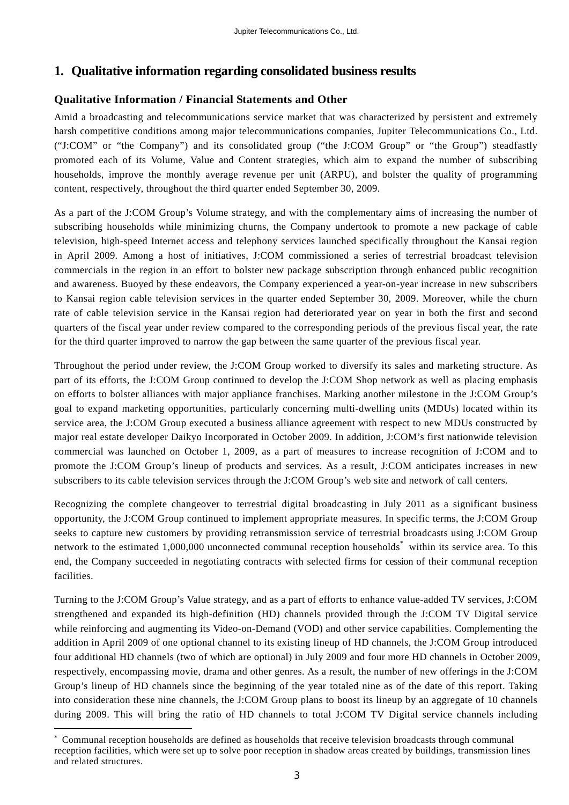## **1. Qualitative information regarding consolidated business results**

## **Qualitative Information / Financial Statements and Other**

Amid a broadcasting and telecommunications service market that was characterized by persistent and extremely harsh competitive conditions among major telecommunications companies, Jupiter Telecommunications Co., Ltd. ("J:COM" or "the Company") and its consolidated group ("the J:COM Group" or "the Group") steadfastly promoted each of its Volume, Value and Content strategies, which aim to expand the number of subscribing households, improve the monthly average revenue per unit (ARPU), and bolster the quality of programming content, respectively, throughout the third quarter ended September 30, 2009.

As a part of the J:COM Group's Volume strategy, and with the complementary aims of increasing the number of subscribing households while minimizing churns, the Company undertook to promote a new package of cable television, high-speed Internet access and telephony services launched specifically throughout the Kansai region in April 2009. Among a host of initiatives, J:COM commissioned a series of terrestrial broadcast television commercials in the region in an effort to bolster new package subscription through enhanced public recognition and awareness. Buoyed by these endeavors, the Company experienced a year-on-year increase in new subscribers to Kansai region cable television services in the quarter ended September 30, 2009. Moreover, while the churn rate of cable television service in the Kansai region had deteriorated year on year in both the first and second quarters of the fiscal year under review compared to the corresponding periods of the previous fiscal year, the rate for the third quarter improved to narrow the gap between the same quarter of the previous fiscal year.

Throughout the period under review, the J:COM Group worked to diversify its sales and marketing structure. As part of its efforts, the J:COM Group continued to develop the J:COM Shop network as well as placing emphasis on efforts to bolster alliances with major appliance franchises. Marking another milestone in the J:COM Group's goal to expand marketing opportunities, particularly concerning multi-dwelling units (MDUs) located within its service area, the J:COM Group executed a business alliance agreement with respect to new MDUs constructed by major real estate developer Daikyo Incorporated in October 2009. In addition, J:COM's first nationwide television commercial was launched on October 1, 2009, as a part of measures to increase recognition of J:COM and to promote the J:COM Group's lineup of products and services. As a result, J:COM anticipates increases in new subscribers to its cable television services through the J:COM Group's web site and network of call centers.

Recognizing the complete changeover to terrestrial digital broadcasting in July 2011 as a significant business opportunity, the J:COM Group continued to implement appropriate measures. In specific terms, the J:COM Group seeks to capture new customers by providing retransmission service of terrestrial broadcasts using J:COM Group network to the estimated 1,000,000 unconnected communal reception households<sup>\*</sup> within its service area. To this end, the Company succeeded in negotiating contracts with selected firms for cession of their communal reception facilities.

Turning to the J:COM Group's Value strategy, and as a part of efforts to enhance value-added TV services, J:COM strengthened and expanded its high-definition (HD) channels provided through the J:COM TV Digital service while reinforcing and augmenting its Video-on-Demand (VOD) and other service capabilities. Complementing the addition in April 2009 of one optional channel to its existing lineup of HD channels, the J:COM Group introduced four additional HD channels (two of which are optional) in July 2009 and four more HD channels in October 2009, respectively, encompassing movie, drama and other genres. As a result, the number of new offerings in the J:COM Group's lineup of HD channels since the beginning of the year totaled nine as of the date of this report. Taking into consideration these nine channels, the J:COM Group plans to boost its lineup by an aggregate of 10 channels during 2009. This will bring the ratio of HD channels to total J:COM TV Digital service channels including

 $\overline{a}$ 

<sup>\*</sup> Communal reception households are defined as households that receive television broadcasts through communal reception facilities, which were set up to solve poor reception in shadow areas created by buildings, transmission lines and related structures.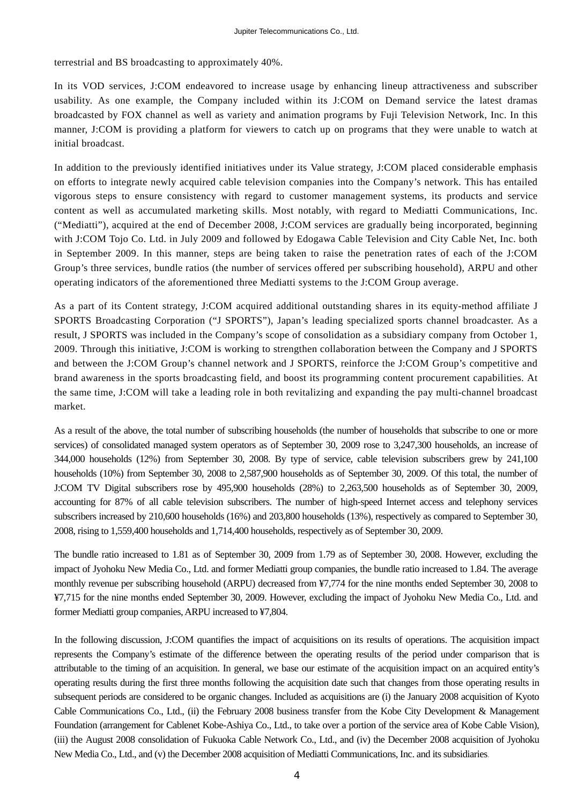terrestrial and BS broadcasting to approximately 40%.

In its VOD services, J:COM endeavored to increase usage by enhancing lineup attractiveness and subscriber usability. As one example, the Company included within its J:COM on Demand service the latest dramas broadcasted by FOX channel as well as variety and animation programs by Fuji Television Network, Inc. In this manner, J:COM is providing a platform for viewers to catch up on programs that they were unable to watch at initial broadcast.

In addition to the previously identified initiatives under its Value strategy, J:COM placed considerable emphasis on efforts to integrate newly acquired cable television companies into the Company's network. This has entailed vigorous steps to ensure consistency with regard to customer management systems, its products and service content as well as accumulated marketing skills. Most notably, with regard to Mediatti Communications, Inc. ("Mediatti"), acquired at the end of December 2008, J:COM services are gradually being incorporated, beginning with J:COM Tojo Co. Ltd. in July 2009 and followed by Edogawa Cable Television and City Cable Net, Inc. both in September 2009. In this manner, steps are being taken to raise the penetration rates of each of the J:COM Group's three services, bundle ratios (the number of services offered per subscribing household), ARPU and other operating indicators of the aforementioned three Mediatti systems to the J:COM Group average.

As a part of its Content strategy, J:COM acquired additional outstanding shares in its equity-method affiliate J SPORTS Broadcasting Corporation ("J SPORTS"), Japan's leading specialized sports channel broadcaster. As a result, J SPORTS was included in the Company's scope of consolidation as a subsidiary company from October 1, 2009. Through this initiative, J:COM is working to strengthen collaboration between the Company and J SPORTS and between the J:COM Group's channel network and J SPORTS, reinforce the J:COM Group's competitive and brand awareness in the sports broadcasting field, and boost its programming content procurement capabilities. At the same time, J:COM will take a leading role in both revitalizing and expanding the pay multi-channel broadcast market.

As a result of the above, the total number of subscribing households (the number of households that subscribe to one or more services) of consolidated managed system operators as of September 30, 2009 rose to 3,247,300 households, an increase of 344,000 households (12%) from September 30, 2008. By type of service, cable television subscribers grew by 241,100 households (10%) from September 30, 2008 to 2,587,900 households as of September 30, 2009. Of this total, the number of J:COM TV Digital subscribers rose by 495,900 households (28%) to 2,263,500 households as of September 30, 2009, accounting for 87% of all cable television subscribers. The number of high-speed Internet access and telephony services subscribers increased by 210,600 households (16%) and 203,800 households (13%), respectively as compared to September 30, 2008, rising to 1,559,400 households and 1,714,400 households, respectively as of September 30, 2009.

The bundle ratio increased to 1.81 as of September 30, 2009 from 1.79 as of September 30, 2008. However, excluding the impact of Jyohoku New Media Co., Ltd. and former Mediatti group companies, the bundle ratio increased to 1.84. The average monthly revenue per subscribing household (ARPU) decreased from ¥7,774 for the nine months ended September 30, 2008 to ¥7,715 for the nine months ended September 30, 2009. However, excluding the impact of Jyohoku New Media Co., Ltd. and former Mediatti group companies, ARPU increased to ¥7,804.

In the following discussion, J:COM quantifies the impact of acquisitions on its results of operations. The acquisition impact represents the Company's estimate of the difference between the operating results of the period under comparison that is attributable to the timing of an acquisition. In general, we base our estimate of the acquisition impact on an acquired entity's operating results during the first three months following the acquisition date such that changes from those operating results in subsequent periods are considered to be organic changes. Included as acquisitions are (i) the January 2008 acquisition of Kyoto Cable Communications Co., Ltd., (ii) the February 2008 business transfer from the Kobe City Development & Management Foundation (arrangement for Cablenet Kobe-Ashiya Co., Ltd., to take over a portion of the service area of Kobe Cable Vision), (iii) the August 2008 consolidation of Fukuoka Cable Network Co., Ltd., and (iv) the December 2008 acquisition of Jyohoku New Media Co., Ltd., and (v) the December 2008 acquisition of Mediatti Communications, Inc. and its subsidiaries.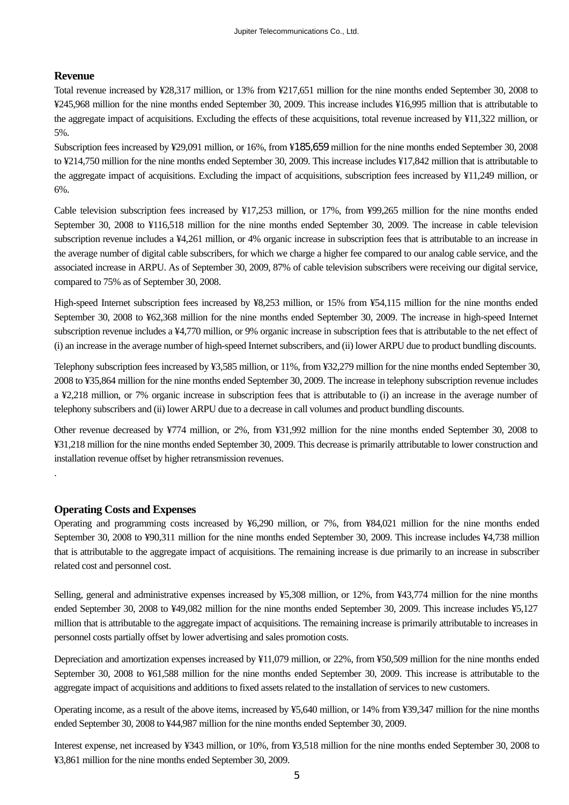### **Revenue**

Total revenue increased by ¥28,317 million, or 13% from ¥217,651 million for the nine months ended September 30, 2008 to ¥245,968 million for the nine months ended September 30, 2009. This increase includes ¥16,995 million that is attributable to the aggregate impact of acquisitions. Excluding the effects of these acquisitions, total revenue increased by ¥11,322 million, or 5%.

Subscription fees increased by ¥29,091 million, or 16%, from ¥185,659 million for the nine months ended September 30, 2008 to ¥214,750 million for the nine months ended September 30, 2009. This increase includes ¥17,842 million that is attributable to the aggregate impact of acquisitions. Excluding the impact of acquisitions, subscription fees increased by ¥11,249 million, or 6%.

Cable television subscription fees increased by ¥17,253 million, or 17%, from ¥99,265 million for the nine months ended September 30, 2008 to ¥116,518 million for the nine months ended September 30, 2009. The increase in cable television subscription revenue includes a ¥4,261 million, or 4% organic increase in subscription fees that is attributable to an increase in the average number of digital cable subscribers, for which we charge a higher fee compared to our analog cable service, and the associated increase in ARPU. As of September 30, 2009, 87% of cable television subscribers were receiving our digital service, compared to 75% as of September 30, 2008.

High-speed Internet subscription fees increased by ¥8,253 million, or 15% from ¥54,115 million for the nine months ended September 30, 2008 to ¥62,368 million for the nine months ended September 30, 2009. The increase in high-speed Internet subscription revenue includes a ¥4,770 million, or 9% organic increase in subscription fees that is attributable to the net effect of (i) an increase in the average number of high-speed Internet subscribers, and (ii) lower ARPU due to product bundling discounts.

Telephony subscription fees increased by ¥3,585 million, or 11%, from ¥32,279 million for the nine months ended September 30, 2008 to ¥35,864 million for the nine months ended September 30, 2009. The increase in telephony subscription revenue includes a ¥2,218 million, or 7% organic increase in subscription fees that is attributable to (i) an increase in the average number of telephony subscribers and (ii) lower ARPU due to a decrease in call volumes and product bundling discounts.

Other revenue decreased by ¥774 million, or 2%, from ¥31,992 million for the nine months ended September 30, 2008 to ¥31,218 million for the nine months ended September 30, 2009. This decrease is primarily attributable to lower construction and installation revenue offset by higher retransmission revenues.

#### **Operating Costs and Expenses**

.

Operating and programming costs increased by ¥6,290 million, or 7%, from ¥84,021 million for the nine months ended September 30, 2008 to ¥90,311 million for the nine months ended September 30, 2009. This increase includes ¥4,738 million that is attributable to the aggregate impact of acquisitions. The remaining increase is due primarily to an increase in subscriber related cost and personnel cost.

Selling, general and administrative expenses increased by ¥5,308 million, or 12%, from ¥43,774 million for the nine months ended September 30, 2008 to ¥49,082 million for the nine months ended September 30, 2009. This increase includes ¥5,127 million that is attributable to the aggregate impact of acquisitions. The remaining increase is primarily attributable to increases in personnel costs partially offset by lower advertising and sales promotion costs.

Depreciation and amortization expenses increased by ¥11,079 million, or 22%, from ¥50,509 million for the nine months ended September 30, 2008 to ¥61,588 million for the nine months ended September 30, 2009. This increase is attributable to the aggregate impact of acquisitions and additions to fixed assets related to the installation of services to new customers.

Operating income, as a result of the above items, increased by ¥5,640 million, or 14% from ¥39,347 million for the nine months ended September 30, 2008 to ¥44,987 million for the nine months ended September 30, 2009.

Interest expense, net increased by ¥343 million, or 10%, from ¥3,518 million for the nine months ended September 30, 2008 to ¥3,861 million for the nine months ended September 30, 2009.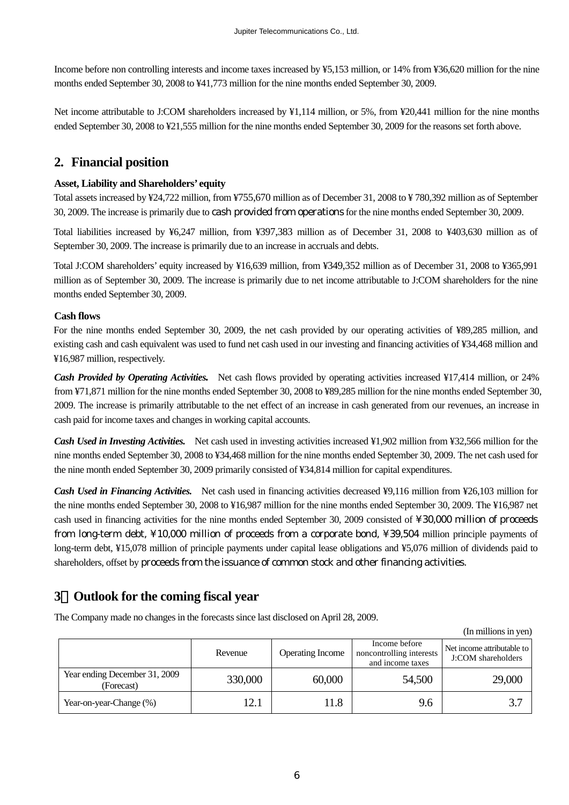Income before non controlling interests and income taxes increased by ¥5,153 million, or 14% from ¥36,620 million for the nine months ended September 30, 2008 to ¥41,773 million for the nine months ended September 30, 2009.

Net income attributable to J:COM shareholders increased by ¥1,114 million, or 5%, from ¥20,441 million for the nine months ended September 30, 2008 to ¥21,555 million for the nine months ended September 30, 2009 for the reasons set forth above.

## **2. Financial position**

### **Asset, Liability and Shareholders' equity**

Total assets increased by ¥24,722 million, from ¥755,670 million as of December 31, 2008 to ¥ 780,392 million as of September 30, 2009. The increase is primarily due to cash provided from operations for the nine months ended September 30, 2009.

Total liabilities increased by ¥6,247 million, from ¥397,383 million as of December 31, 2008 to ¥403,630 million as of September 30, 2009. The increase is primarily due to an increase in accruals and debts.

Total J:COM shareholders' equity increased by ¥16,639 million, from ¥349,352 million as of December 31, 2008 to ¥365,991 million as of September 30, 2009. The increase is primarily due to net income attributable to J:COM shareholders for the nine months ended September 30, 2009.

### **Cash flows**

For the nine months ended September 30, 2009, the net cash provided by our operating activities of ¥89,285 million, and existing cash and cash equivalent was used to fund net cash used in our investing and financing activities of ¥34,468 million and ¥16,987 million, respectively.

*Cash Provided by Operating Activities.* Net cash flows provided by operating activities increased ¥17,414 million, or 24% from ¥71,871 million for the nine months ended September 30, 2008 to ¥89,285 million for the nine months ended September 30, 2009. The increase is primarily attributable to the net effect of an increase in cash generated from our revenues, an increase in cash paid for income taxes and changes in working capital accounts.

*Cash Used in Investing Activities.* Net cash used in investing activities increased ¥1,902 million from ¥32,566 million for the nine months ended September 30, 2008 to ¥34,468 million for the nine months ended September 30, 2009. The net cash used for the nine month ended September 30, 2009 primarily consisted of ¥34,814 million for capital expenditures.

*Cash Used in Financing Activities.* Net cash used in financing activities decreased ¥9,116 million from ¥26,103 million for the nine months ended September 30, 2008 to ¥16,987 million for the nine months ended September 30, 2009. The ¥16,987 net cash used in financing activities for the nine months ended September 30, 2009 consisted of ¥30,000 million of proceeds from long-term debt, ¥10,000 million of proceeds from a corporate bond, ¥39,504 million principle payments of long-term debt, ¥15,078 million of principle payments under capital lease obligations and ¥5,076 million of dividends paid to shareholders, offset by proceeds from the issuance of common stock and other financing activities.

## **3**.**Outlook for the coming fiscal year**

The Company made no changes in the forecasts since last disclosed on April 28, 2009.

 (In millions in yen) Revenue **Operating Income** Income before noncontrolling interests and income taxes Net income attributable to J:COM shareholders Year ending December 31, 2009 g December 51, 2009 330,000 60,000 54,500 29,000 (Forecast) Year-on-year-Change  $(\%)$  12.1 11.8 9.6 3.7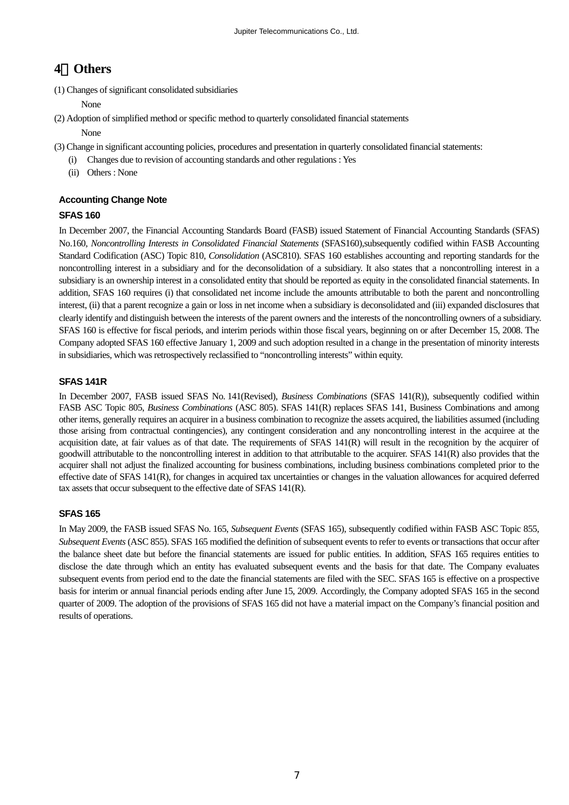## **4**.**Others**

(1) Changes of significant consolidated subsidiaries

None

(2) Adoption of simplified method or specific method to quarterly consolidated financial statements

#### None

- (3) Change in significant accounting policies, procedures and presentation in quarterly consolidated financial statements:
	- (i) Changes due to revision of accounting standards and other regulations : Yes
	- (ii) Others : None

## **Accounting Change Note**

## **SFAS 160**

In December 2007, the Financial Accounting Standards Board (FASB) issued Statement of Financial Accounting Standards (SFAS) No.160, *Noncontrolling Interests in Consolidated Financial Statements* (SFAS160),subsequently codified within FASB Accounting Standard Codification (ASC) Topic 810, *Consolidation* (ASC810). SFAS 160 establishes accounting and reporting standards for the noncontrolling interest in a subsidiary and for the deconsolidation of a subsidiary. It also states that a noncontrolling interest in a subsidiary is an ownership interest in a consolidated entity that should be reported as equity in the consolidated financial statements. In addition, SFAS 160 requires (i) that consolidated net income include the amounts attributable to both the parent and noncontrolling interest, (ii) that a parent recognize a gain or loss in net income when a subsidiary is deconsolidated and (iii) expanded disclosures that clearly identify and distinguish between the interests of the parent owners and the interests of the noncontrolling owners of a subsidiary. SFAS 160 is effective for fiscal periods, and interim periods within those fiscal years, beginning on or after December 15, 2008. The Company adopted SFAS 160 effective January 1, 2009 and such adoption resulted in a change in the presentation of minority interests in subsidiaries, which was retrospectively reclassified to "noncontrolling interests" within equity.

### **SFAS 141R**

In December 2007, FASB issued SFAS No. 141(Revised), *Business Combinations* (SFAS 141(R)), subsequently codified within FASB ASC Topic 805, *Business Combinations* (ASC 805). SFAS 141(R) replaces SFAS 141, Business Combinations and among other items, generally requires an acquirer in a business combination to recognize the assets acquired, the liabilities assumed (including those arising from contractual contingencies), any contingent consideration and any noncontrolling interest in the acquiree at the acquisition date, at fair values as of that date. The requirements of SFAS 141(R) will result in the recognition by the acquirer of goodwill attributable to the noncontrolling interest in addition to that attributable to the acquirer. SFAS 141(R) also provides that the acquirer shall not adjust the finalized accounting for business combinations, including business combinations completed prior to the effective date of SFAS 141(R), for changes in acquired tax uncertainties or changes in the valuation allowances for acquired deferred tax assets that occur subsequent to the effective date of SFAS 141(R).

## **SFAS 165**

In May 2009, the FASB issued SFAS No. 165, *Subsequent Events* (SFAS 165), subsequently codified within FASB ASC Topic 855, *Subsequent Events* (ASC 855). SFAS 165 modified the definition of subsequent events to refer to events or transactions that occur after the balance sheet date but before the financial statements are issued for public entities. In addition, SFAS 165 requires entities to disclose the date through which an entity has evaluated subsequent events and the basis for that date. The Company evaluates subsequent events from period end to the date the financial statements are filed with the SEC. SFAS 165 is effective on a prospective basis for interim or annual financial periods ending after June 15, 2009. Accordingly, the Company adopted SFAS 165 in the second quarter of 2009. The adoption of the provisions of SFAS 165 did not have a material impact on the Company's financial position and results of operations.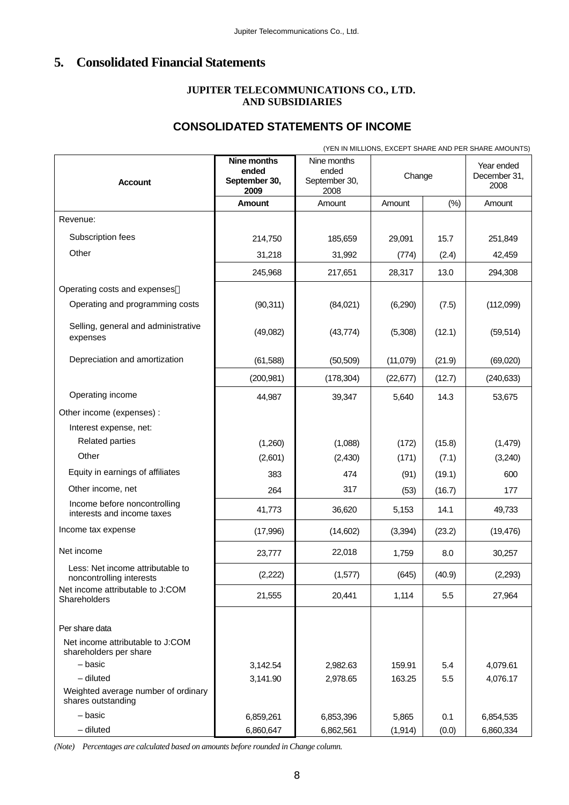## **5. Consolidated Financial Statements**

### **JUPITER TELECOMMUNICATIONS CO., LTD. AND SUBSIDIARIES**

## **CONSOLIDATED STATEMENTS OF INCOME**

(YEN IN MILLIONS, EXCEPT SHARE AND PER SHARE AMOUNTS) **Nine months ended September 30, 2009**  Nine months ended September 30, 2008 **Change** Year ended December 31, Account **September 30, September 30, September 30, 1999 Amount** | Amount | Amount | (%) | Amount Revenue: Subscription fees 214,750 185,659 29,091 15.7 251,849 Other 31,218 31,992 (774) (2.4) 42,459 245,968 217,651 28,317 13.0 294,308 Operating costs and expenses Operating and programming costs (90,311) (84,021) (6,290) (7.5) (112,099) Selling, general and administrative expenses (49,082) (49,082) (43,774) (5,308) (12.1) (59,514) Depreciation and amortization (61,588) (50,509) (11,079) (21.9) (69,020) (200,981) (178,304) (22,677) (12.7) (240,633) Operating income 1 44,987 39,347 5,640 14.3 53,675 Other income (expenses) : Interest expense, net: Related parties (1,260) (1,260) (1,088) (172) (15.8) (1,479) Other (2,601) (2,601) (2,430) (171) (7.1) (3,240) Equity in earnings of affiliates 1983 1990 1990 1991 (19.1) 474 (91) (19.1) Other income, net 177 (53) (16.7) 177 Income before noncontrolling interests and income taxes  $41,773$   $36,620$   $5,153$  14.1  $49,733$ Income tax expense (17,996) (17,996) (14,602) (3,394) (23.2) (19,476) Net income 23,777 22,018 1,759 8.0 30,257 Less: Net income attributable to noncontrolling interests (2,222) (1,577) (645) (40.9) (2,293) Net income attributable to J:COM<br>Shareholders Shareholders 27,964 21,555 20,441 1,114 5.5 27,964 Per share data Net income attributable to J:COM shareholders per share – basic 3,142.54 2,982.63 159.91 5.4 4,079.61 – diluted 3,141.90 2,978.65 163.25 5.5 4,076.17

*(Note) Percentages are calculated based on amounts before rounded in Change column.*

Weighted average number of ordinary

shares outstanding

– basic 6,859,261 6,853,396 5,865 0.1 6,854,535 – diluted 6,860,647 6,862,561 (1,914) (0.0) 6,860,334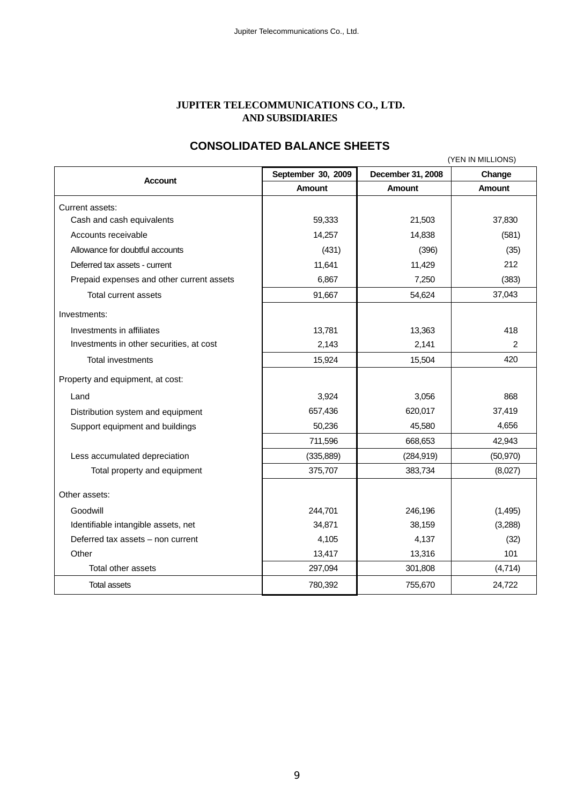#### **JUPITER TELECOMMUNICATIONS CO., LTD. AND SUBSIDIARIES**

## **CONSOLIDATED BALANCE SHEETS**

|                                           | (YEN IN MILLIONS)  |                   |               |  |
|-------------------------------------------|--------------------|-------------------|---------------|--|
| <b>Account</b>                            | September 30, 2009 | December 31, 2008 | Change        |  |
|                                           | <b>Amount</b>      | <b>Amount</b>     | <b>Amount</b> |  |
| Current assets:                           |                    |                   |               |  |
| Cash and cash equivalents                 | 59,333             | 21,503            | 37,830        |  |
| Accounts receivable                       | 14,257             | 14,838            | (581)         |  |
| Allowance for doubtful accounts           | (431)              | (396)             | (35)          |  |
| Deferred tax assets - current             | 11,641             | 11,429            | 212           |  |
| Prepaid expenses and other current assets | 6,867              | 7,250             | (383)         |  |
| Total current assets                      | 91,667             | 54,624            | 37,043        |  |
| Investments:                              |                    |                   |               |  |
| Investments in affiliates                 | 13,781             | 13,363            | 418           |  |
| Investments in other securities, at cost  | 2,143              | 2,141             | 2             |  |
| <b>Total investments</b>                  | 15,924             | 15,504            | 420           |  |
| Property and equipment, at cost:          |                    |                   |               |  |
| Land                                      | 3,924              | 3,056             | 868           |  |
| Distribution system and equipment         | 657,436            | 620,017           | 37,419        |  |
| Support equipment and buildings           | 50,236             | 45,580            | 4,656         |  |
|                                           | 711,596            | 668,653           | 42,943        |  |
| Less accumulated depreciation             | (335, 889)         | (284, 919)        | (50, 970)     |  |
| Total property and equipment              | 375,707            | 383,734           | (8,027)       |  |
| Other assets:                             |                    |                   |               |  |
| Goodwill                                  | 244,701            | 246,196           | (1, 495)      |  |
| Identifiable intangible assets, net       | 34,871             | 38,159            | (3,288)       |  |
| Deferred tax assets - non current         | 4,105              | 4,137             | (32)          |  |
| Other                                     | 13,417             | 13,316            | 101           |  |
| Total other assets                        | 297,094            | 301,808           | (4,714)       |  |
| <b>Total assets</b>                       | 780,392            | 755,670           | 24,722        |  |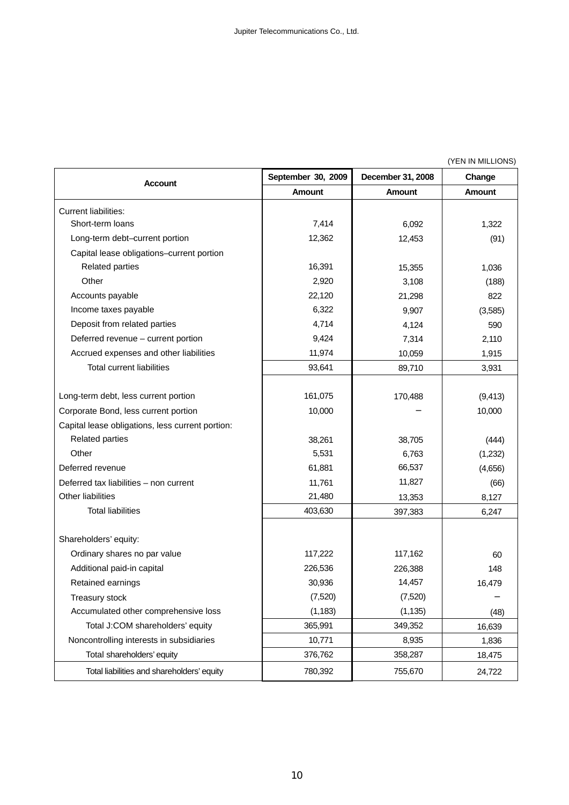(YEN IN MILLIONS)

| <b>Account</b>                                   | September 30, 2009 | December 31, 2008 | Change        |
|--------------------------------------------------|--------------------|-------------------|---------------|
|                                                  | <b>Amount</b>      | <b>Amount</b>     | <b>Amount</b> |
| <b>Current liabilities:</b>                      |                    |                   |               |
| Short-term loans                                 | 7,414              | 6,092             | 1,322         |
| Long-term debt-current portion                   | 12,362             | 12,453            | (91)          |
| Capital lease obligations-current portion        |                    |                   |               |
| <b>Related parties</b>                           | 16,391             | 15,355            | 1,036         |
| Other                                            | 2,920              | 3,108             | (188)         |
| Accounts payable                                 | 22,120             | 21,298            | 822           |
| Income taxes payable                             | 6,322              | 9,907             | (3,585)       |
| Deposit from related parties                     | 4,714              | 4,124             | 590           |
| Deferred revenue - current portion               | 9,424              | 7,314             | 2,110         |
| Accrued expenses and other liabilities           | 11,974             | 10,059            | 1,915         |
| <b>Total current liabilities</b>                 | 93,641             | 89,710            | 3,931         |
|                                                  |                    |                   |               |
| Long-term debt, less current portion             | 161,075            | 170,488           | (9, 413)      |
| Corporate Bond, less current portion             | 10,000             |                   | 10,000        |
| Capital lease obligations, less current portion: |                    |                   |               |
| <b>Related parties</b>                           | 38,261             | 38,705            | (444)         |
| Other                                            | 5,531              | 6,763             | (1,232)       |
| Deferred revenue                                 | 61,881             | 66,537            | (4,656)       |
| Deferred tax liabilities - non current           | 11,761             | 11,827            | (66)          |
| Other liabilities                                | 21,480             | 13,353            | 8,127         |
| <b>Total liabilities</b>                         | 403,630            | 397,383           | 6,247         |
|                                                  |                    |                   |               |
| Shareholders' equity:                            |                    |                   |               |
| Ordinary shares no par value                     | 117,222            | 117,162           | 60            |
| Additional paid-in capital                       | 226,536            | 226,388           | 148           |
| Retained earnings                                | 30,936             | 14,457            | 16,479        |
| Treasury stock                                   | (7,520)            | (7,520)           |               |
| Accumulated other comprehensive loss             | (1, 183)           | (1, 135)          | (48)          |
| Total J:COM shareholders' equity                 | 365,991            | 349,352           | 16,639        |
| Noncontrolling interests in subsidiaries         | 10,771             | 8,935             | 1,836         |
| Total shareholders' equity                       | 376,762            | 358,287           | 18,475        |
| Total liabilities and shareholders' equity       | 780,392            | 755,670           | 24,722        |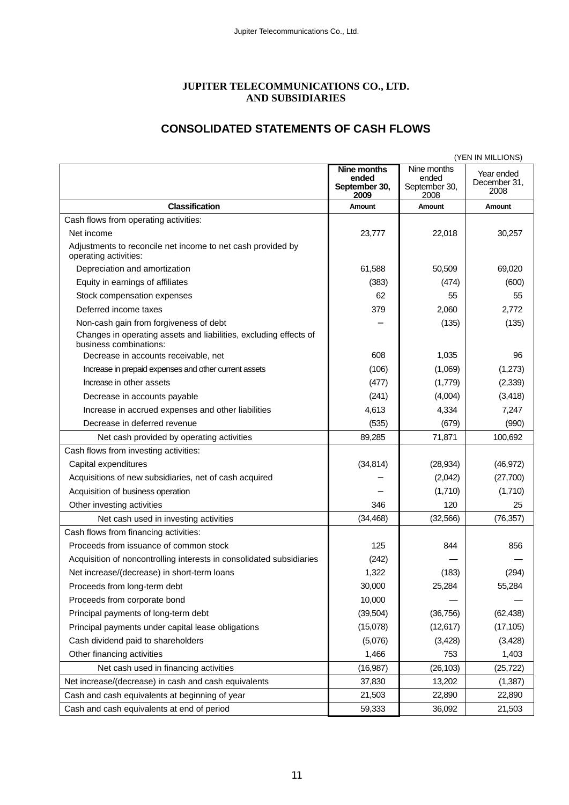## **JUPITER TELECOMMUNICATIONS CO., LTD. AND SUBSIDIARIES**

## **CONSOLIDATED STATEMENTS OF CASH FLOWS**

|                                                                                                                                       | (YEN IN MILLIONS)                             |                                               |                                    |  |
|---------------------------------------------------------------------------------------------------------------------------------------|-----------------------------------------------|-----------------------------------------------|------------------------------------|--|
|                                                                                                                                       | Nine months<br>ended<br>September 30,<br>2009 | Nine months<br>ended<br>September 30,<br>2008 | Year ended<br>December 31,<br>2008 |  |
| <b>Classification</b>                                                                                                                 | Amount                                        | Amount                                        | Amount                             |  |
| Cash flows from operating activities:                                                                                                 |                                               |                                               |                                    |  |
| Net income                                                                                                                            | 23,777                                        | 22,018                                        | 30,257                             |  |
| Adjustments to reconcile net income to net cash provided by<br>operating activities:                                                  |                                               |                                               |                                    |  |
| Depreciation and amortization                                                                                                         | 61,588                                        | 50,509                                        | 69,020                             |  |
| Equity in earnings of affiliates                                                                                                      | (383)                                         | (474)                                         | (600)                              |  |
| Stock compensation expenses                                                                                                           | 62                                            | 55                                            | 55                                 |  |
| Deferred income taxes                                                                                                                 | 379                                           | 2,060                                         | 2,772                              |  |
| Non-cash gain from forgiveness of debt<br>Changes in operating assets and liabilities, excluding effects of<br>business combinations: |                                               | (135)                                         | (135)                              |  |
| Decrease in accounts receivable, net                                                                                                  | 608                                           | 1,035                                         | 96                                 |  |
| Increase in prepaid expenses and other current assets                                                                                 | (106)                                         | (1,069)                                       | (1,273)                            |  |
| Increase in other assets                                                                                                              | (477)                                         | (1,779)                                       | (2, 339)                           |  |
| Decrease in accounts payable                                                                                                          | (241)                                         | (4,004)                                       | (3, 418)                           |  |
| Increase in accrued expenses and other liabilities                                                                                    | 4,613                                         | 4,334                                         | 7,247                              |  |
| Decrease in deferred revenue                                                                                                          | (535)                                         | (679)                                         | (990)                              |  |
| Net cash provided by operating activities<br>Cash flows from investing activities:                                                    | 89,285                                        | 71,871                                        | 100,692                            |  |
| Capital expenditures                                                                                                                  | (34, 814)                                     | (28, 934)                                     | (46, 972)                          |  |
| Acquisitions of new subsidiaries, net of cash acquired                                                                                |                                               | (2,042)                                       | (27,700)                           |  |
| Acquisition of business operation                                                                                                     |                                               | (1,710)                                       | (1,710)                            |  |
| Other investing activities                                                                                                            | 346                                           | 120                                           | 25                                 |  |
| Net cash used in investing activities                                                                                                 | (34, 468)                                     | (32, 566)                                     | (76, 357)                          |  |
| Cash flows from financing activities:                                                                                                 |                                               |                                               |                                    |  |
| Proceeds from issuance of common stock                                                                                                | 125                                           | 844                                           | 856                                |  |
| Acquisition of noncontrolling interests in consolidated subsidiaries                                                                  | (242)                                         |                                               |                                    |  |
| Net increase/(decrease) in short-term loans                                                                                           | 1,322                                         | (183)                                         | (294)                              |  |
| Proceeds from long-term debt                                                                                                          | 30,000                                        | 25,284                                        | 55,284                             |  |
| Proceeds from corporate bond                                                                                                          | 10,000                                        |                                               |                                    |  |
| Principal payments of long-term debt                                                                                                  | (39, 504)                                     | (36, 756)                                     | (62, 438)                          |  |
| Principal payments under capital lease obligations                                                                                    | (15,078)                                      | (12, 617)                                     | (17, 105)                          |  |
| Cash dividend paid to shareholders                                                                                                    | (5,076)                                       | (3, 428)                                      | (3, 428)                           |  |
| Other financing activities                                                                                                            | 1,466                                         | 753                                           | 1,403                              |  |
| Net cash used in financing activities                                                                                                 | (16, 987)                                     | (26, 103)                                     | (25, 722)                          |  |
| Net increase/(decrease) in cash and cash equivalents                                                                                  | 37,830                                        | 13,202                                        | (1, 387)                           |  |
| Cash and cash equivalents at beginning of year                                                                                        | 21,503                                        | 22,890                                        | 22,890                             |  |
| Cash and cash equivalents at end of period                                                                                            | 59,333                                        | 36,092                                        | 21,503                             |  |